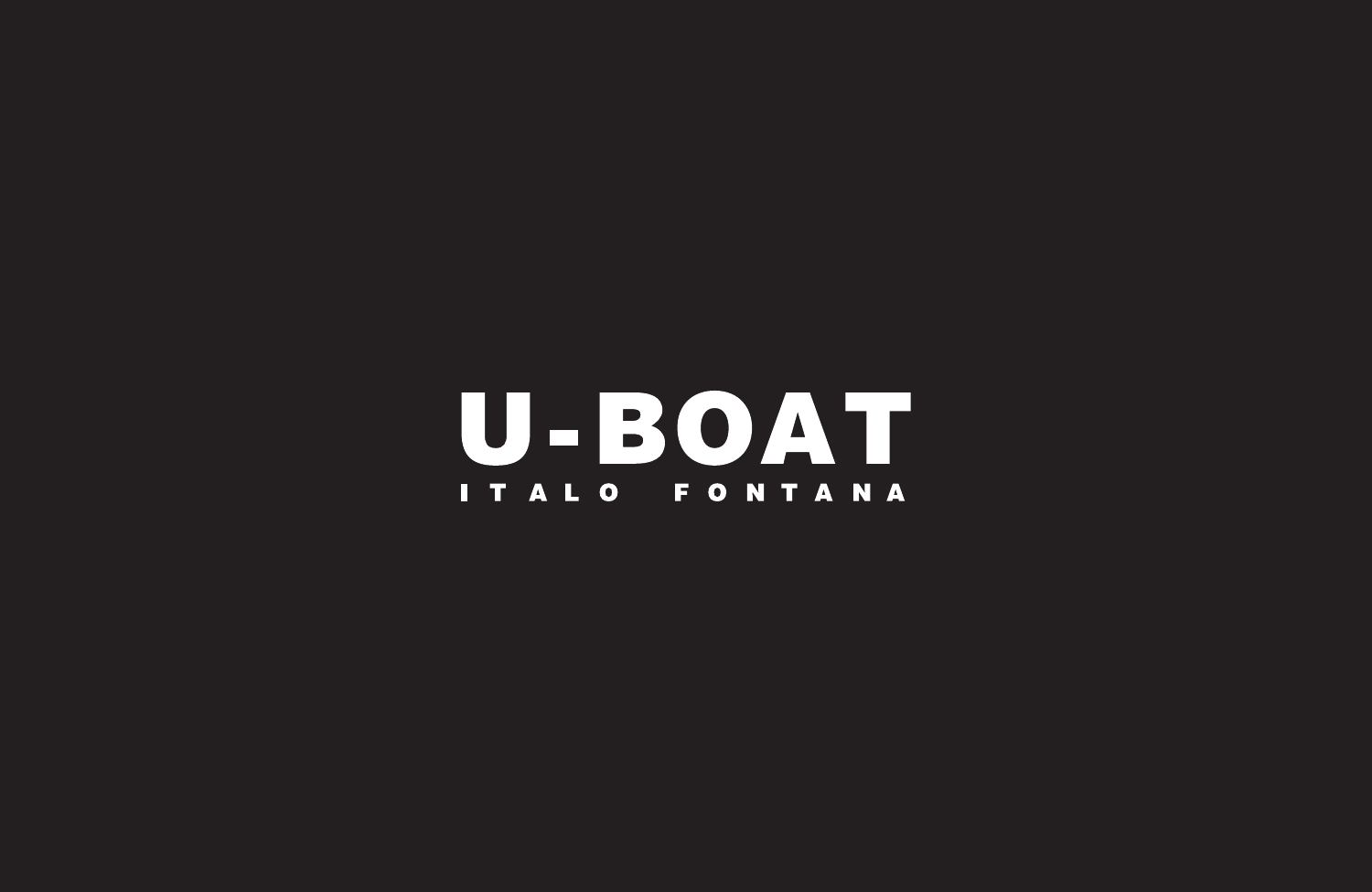**U-BOAT** ITALO FONTANA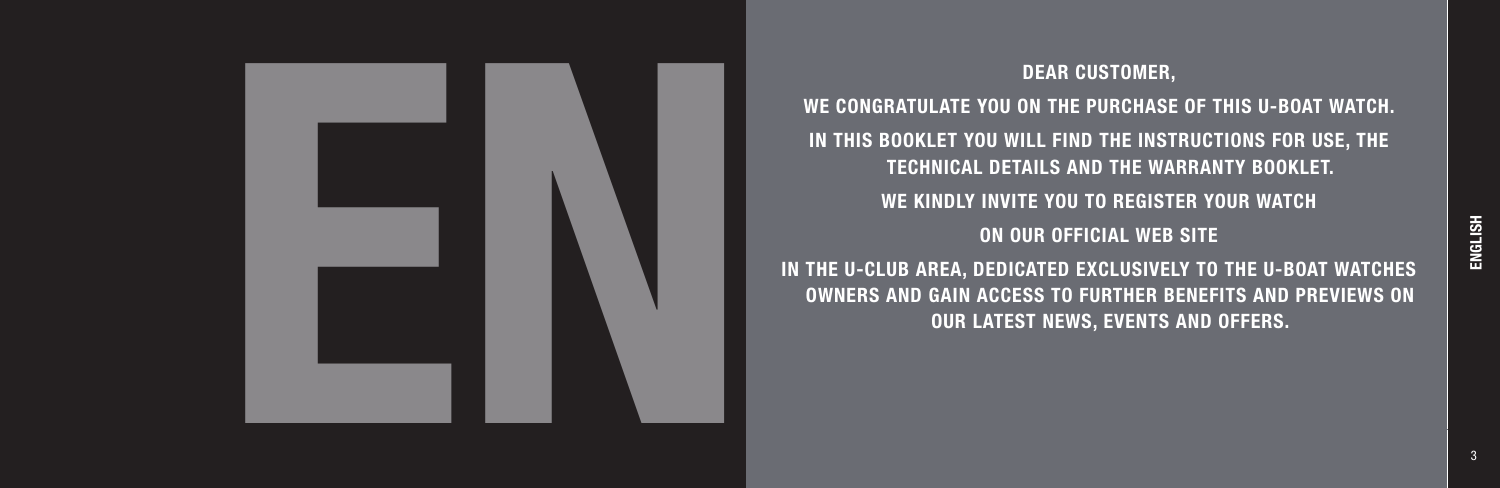

# WE CONGRATULATE YOU ON THE PURCHASE OF THIS U-BOAT WATCH. IN THIS BOOKLET YOU WILL FIND THE INSTRUCTIONS FOR USE, THE TECHNICAL DETAILS AND THE WARRANTY BOOKLET. WE KINDLY INVITE YOU TO REGISTER YOUR WATCH ON OUR OFFICIAL WEB SITE IN THE U-CLUB AREA, DEDICATED EXCLUSIVELY TO THE U-BOAT WATCHES OWNERS AND GAIN ACCESS TO FURTHER BENEFITS AND PREVIEWS ON OUR LATEST NEWS, EVENTS AND OFFERS.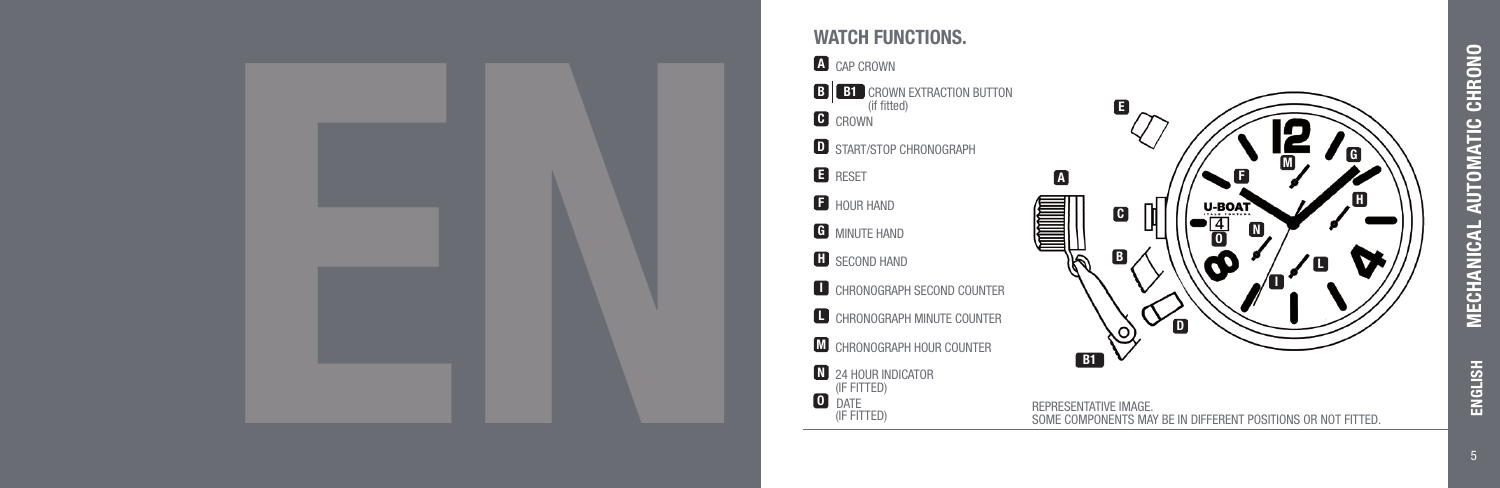

### WATCH FUNCTIONS.

## **A** CAP CROWN

**B B1** CROWN EXTRACTION BUTTO C CROWN<sup>(IT</sup> **D** START/STOP CHRONOGRAPH **E** RESET **F** HOUR HAND **G** MINUTE HAND **H** SECOND HAND (if fitted) **I** CHRONOGRAPH SECOND COUNTER **L** CHRONOGRAPH MINUTE COUNTER **M** CHRONOGRAPH HOUR COUNTER N 24 HOUR INDICATO <sup>O</sup> DATE (iF fitted) (iF fitted)



ENGLISH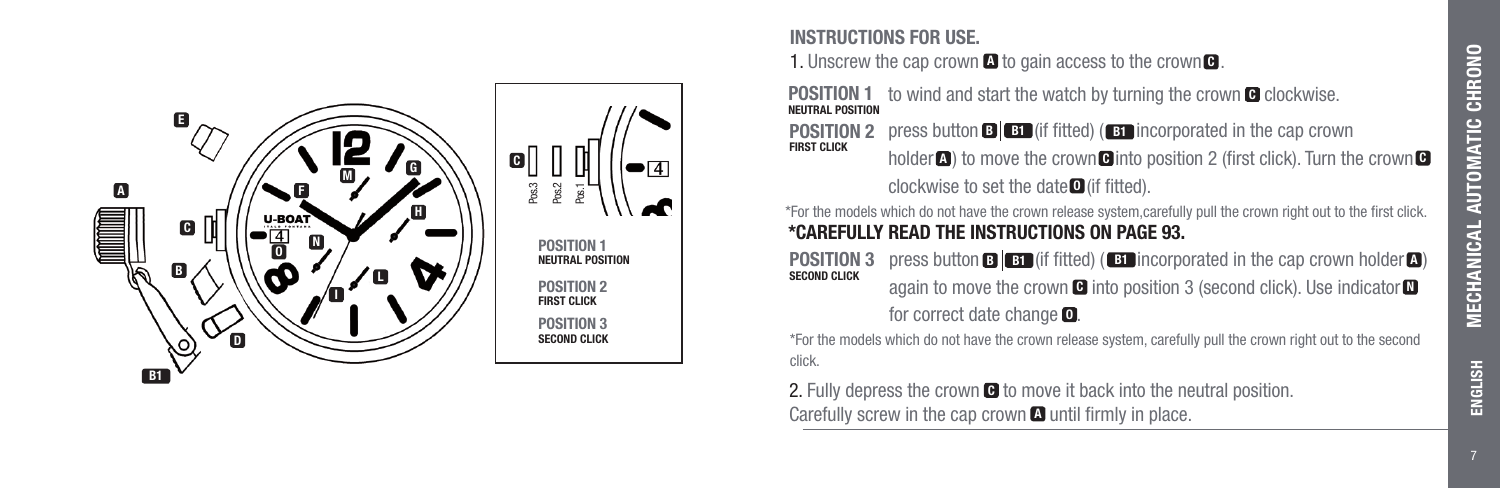

#### INSTRUCTIONS FOR USE.

**1.** Unscrew the cap crown  $\blacksquare$  to gain access to the crown  $\blacksquare$ .

**POSITION 1** to wind and start the watch by turning the crown  $\blacksquare$  clockwise.

**POSITION 2** press button  $\mathbf{B}$   $\mathbf{B}$  (if fitted) ( $\mathbf{B}$  incorporated in the cap crown FIRST CLICK holder  $\blacksquare$ ) to move the crown  $\blacksquare$  into position 2 (first click). Turn the crown  $\blacksquare$ holder **a**) to move the crown **G** into p<br>clockwise to set the date **O** (if fitted).

\*For the models which do not have the crown release system,carefully pull the crown right out to the first click. \*CAREFULLY READ THE INSTRUCTIONS ON PAGE 93.

**POSITION 3** press button  $\mathbf{B}$   $\mathbf{B}$  (if fitted) ( $\mathbf{B}$  incorporated in the cap crown holder  $\mathbf{A}$ ) SECOND CLICK again to move the crown  $\blacksquare$  into position 3 (second click). Use indicator  $\blacksquare$ for correct date change  $\blacksquare$ .

\*For the models which do not have the crown release system, carefully pull the crown right out to the second click.

2. Fully depress the crown  $\blacksquare$  to move it back into the neutral position. Carefully screw in the cap crown  $\blacksquare$  until firmly in place.

ENGLISH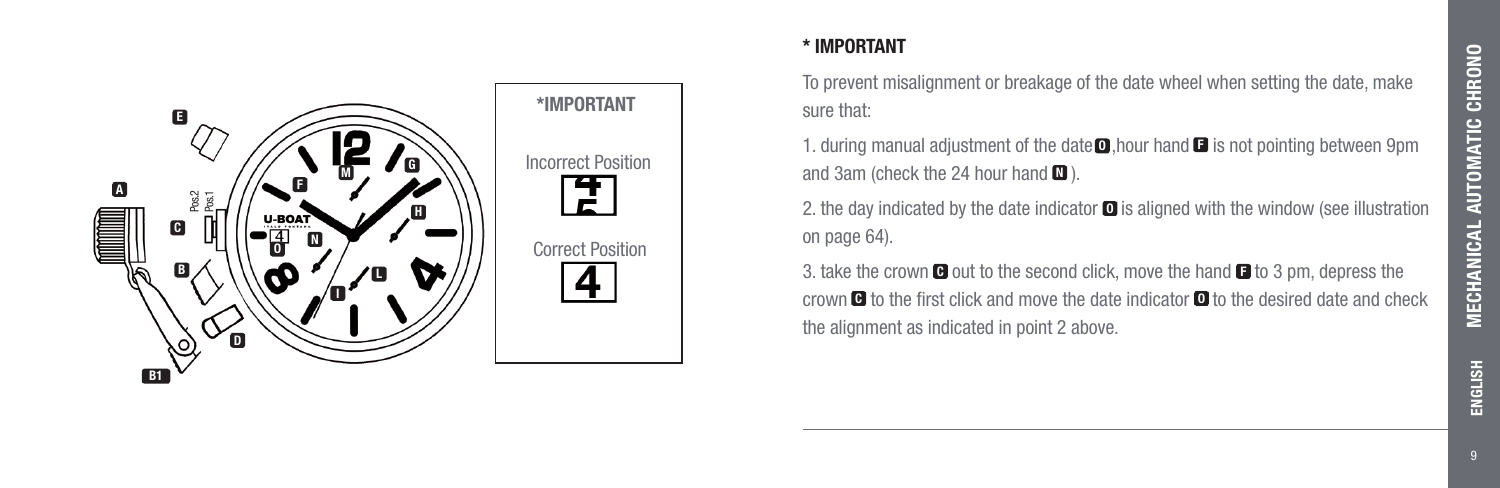

### \* IMPORTANT

To prevent misalignment or breakage of the date wheel when setting the date, make sure that:

1. during manual adjustment of the date  $\Box$ , hour hand  $\Box$  is not pointing between 9pm and 3am (check the 24 hour hand  $\blacksquare$ ).

2. the day indicated by the date indicator  $\blacksquare$  is aligned with the window (see illustration on page 64).

3. take the crown  $\blacksquare$  out to the second click, move the hand  $\blacksquare$  to 3 pm, depress the crown  $\blacksquare$  to the first click and move the date indicator  $\blacksquare$  to the desired date and check the alignment as indicated in point 2 above.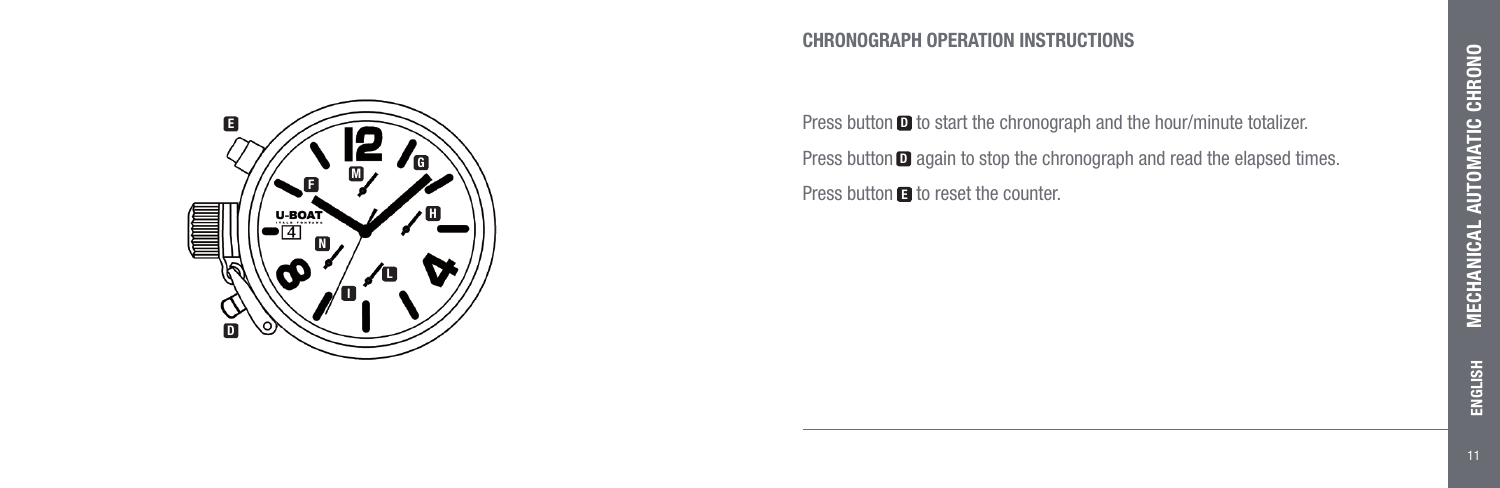#### CHRONOGRAPH OPERATION INSTRUCTIONS

Press button  $\blacksquare$  to start the chronograph and the hour/minute totalizer. Press button  $\Box$  again to stop the chronograph and read the elapsed times. Press button **D** to start the chronogr<br>Press button **D** again to stop the chr<br>Press button **O** to reset the counter.